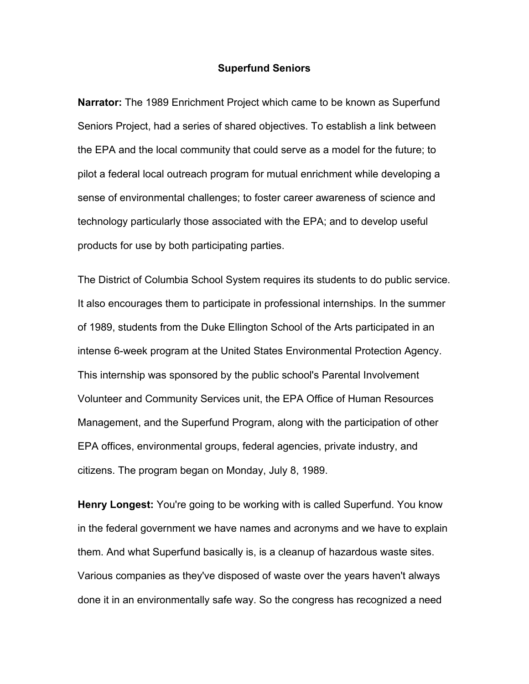## **Superfund Seniors**

**Narrator:** The 1989 Enrichment Project which came to be known as Superfund Seniors Project, had a series of shared objectives. To establish a link between the EPA and the local community that could serve as a model for the future; to pilot a federal local outreach program for mutual enrichment while developing a sense of environmental challenges; to foster career awareness of science and technology particularly those associated with the EPA; and to develop useful products for use by both participating parties.

The District of Columbia School System requires its students to do public service. It also encourages them to participate in professional internships. In the summer of 1989, students from the Duke Ellington School of the Arts participated in an intense 6-week program at the United States Environmental Protection Agency. This internship was sponsored by the public school's Parental Involvement Volunteer and Community Services unit, the EPA Office of Human Resources Management, and the Superfund Program, along with the participation of other EPA offices, environmental groups, federal agencies, private industry, and citizens. The program began on Monday, July 8, 1989.

**Henry Longest:** You're going to be working with is called Superfund. You know in the federal government we have names and acronyms and we have to explain them. And what Superfund basically is, is a cleanup of hazardous waste sites. Various companies as they've disposed of waste over the years haven't always done it in an environmentally safe way. So the congress has recognized a need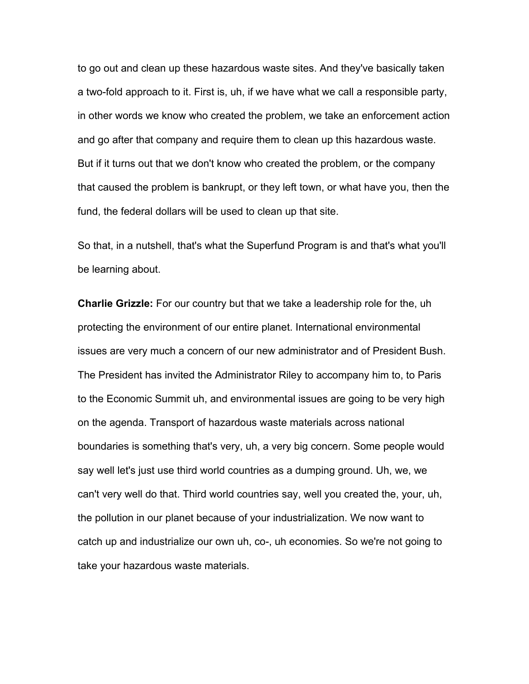to go out and clean up these hazardous waste sites. And they've basically taken a two-fold approach to it. First is, uh, if we have what we call a responsible party, in other words we know who created the problem, we take an enforcement action and go after that company and require them to clean up this hazardous waste. But if it turns out that we don't know who created the problem, or the company that caused the problem is bankrupt, or they left town, or what have you, then the fund, the federal dollars will be used to clean up that site.

So that, in a nutshell, that's what the Superfund Program is and that's what you'll be learning about.

**Charlie Grizzle:** For our country but that we take a leadership role for the, uh protecting the environment of our entire planet. International environmental issues are very much a concern of our new administrator and of President Bush. The President has invited the Administrator Riley to accompany him to, to Paris to the Economic Summit uh, and environmental issues are going to be very high on the agenda. Transport of hazardous waste materials across national boundaries is something that's very, uh, a very big concern. Some people would say well let's just use third world countries as a dumping ground. Uh, we, we can't very well do that. Third world countries say, well you created the, your, uh, the pollution in our planet because of your industrialization. We now want to catch up and industrialize our own uh, co-, uh economies. So we're not going to take your hazardous waste materials.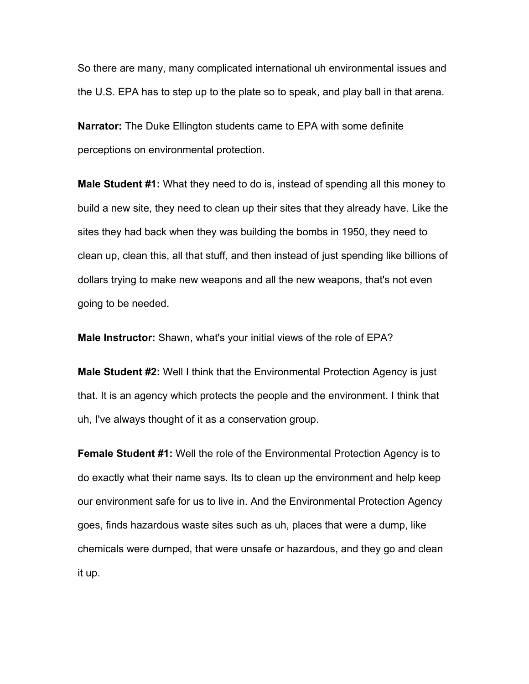So there are many, many complicated international uh environmental issues and the U.S. EPA has to step up to the plate so to speak, and play ball in that arena.

**Narrator:** The Duke Ellington students came to EPA with some definite perceptions on environmental protection.

**Male Student #1:** What they need to do is, instead of spending all this money to build a new site, they need to clean up their sites that they already have. Like the sites they had back when they was building the bombs in 1950, they need to clean up, clean this, all that stuff, and then instead of just spending like billions of dollars trying to make new weapons and all the new weapons, that's not even going to be needed.

**Male Instructor:** Shawn, what's your initial views of the role of EPA?

**Male Student #2:** Well I think that the Environmental Protection Agency is just that. It is an agency which protects the people and the environment. I think that uh, I've always thought of it as a conservation group.

**Female Student #1:** Well the role of the Environmental Protection Agency is to do exactly what their name says. Its to clean up the environment and help keep our environment safe for us to live in. And the Environmental Protection Agency goes, finds hazardous waste sites such as uh, places that were a dump, like chemicals were dumped, that were unsafe or hazardous, and they go and clean it up.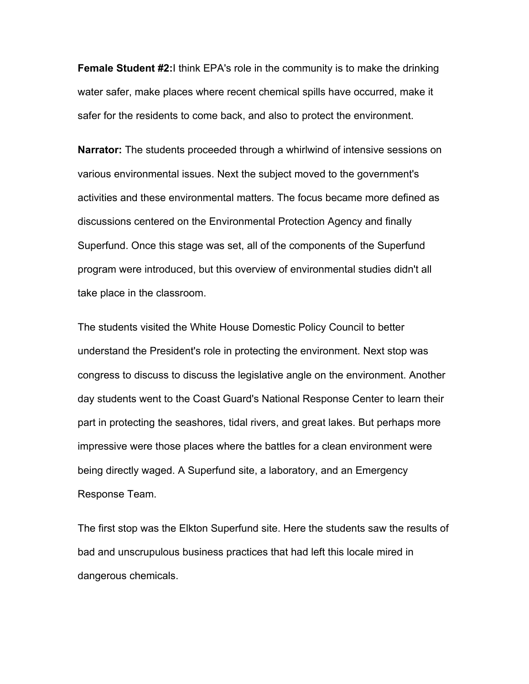**Female Student #2:**I think EPA's role in the community is to make the drinking water safer, make places where recent chemical spills have occurred, make it safer for the residents to come back, and also to protect the environment.

**Narrator:** The students proceeded through a whirlwind of intensive sessions on various environmental issues. Next the subject moved to the government's activities and these environmental matters. The focus became more defined as discussions centered on the Environmental Protection Agency and finally Superfund. Once this stage was set, all of the components of the Superfund program were introduced, but this overview of environmental studies didn't all take place in the classroom.

The students visited the White House Domestic Policy Council to better understand the President's role in protecting the environment. Next stop was congress to discuss to discuss the legislative angle on the environment. Another day students went to the Coast Guard's National Response Center to learn their part in protecting the seashores, tidal rivers, and great lakes. But perhaps more impressive were those places where the battles for a clean environment were being directly waged. A Superfund site, a laboratory, and an Emergency Response Team.

The first stop was the Elkton Superfund site. Here the students saw the results of bad and unscrupulous business practices that had left this locale mired in dangerous chemicals.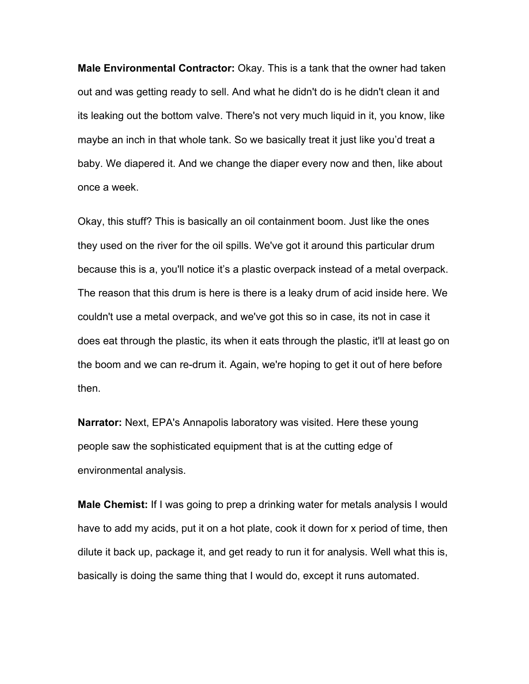**Male Environmental Contractor:** Okay. This is a tank that the owner had taken out and was getting ready to sell. And what he didn't do is he didn't clean it and its leaking out the bottom valve. There's not very much liquid in it, you know, like maybe an inch in that whole tank. So we basically treat it just like you'd treat a baby. We diapered it. And we change the diaper every now and then, like about once a week.

Okay, this stuff? This is basically an oil containment boom. Just like the ones they used on the river for the oil spills. We've got it around this particular drum because this is a, you'll notice itís a plastic overpack instead of a metal overpack. The reason that this drum is here is there is a leaky drum of acid inside here. We couldn't use a metal overpack, and we've got this so in case, its not in case it does eat through the plastic, its when it eats through the plastic, it'll at least go on the boom and we can re-drum it. Again, we're hoping to get it out of here before then.

**Narrator:** Next, EPA's Annapolis laboratory was visited. Here these young people saw the sophisticated equipment that is at the cutting edge of environmental analysis.

**Male Chemist:** If I was going to prep a drinking water for metals analysis I would have to add my acids, put it on a hot plate, cook it down for x period of time, then dilute it back up, package it, and get ready to run it for analysis. Well what this is, basically is doing the same thing that I would do, except it runs automated.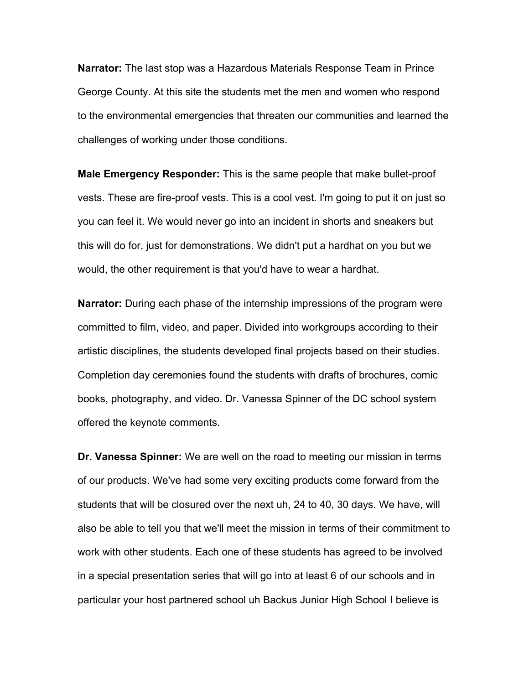**Narrator:** The last stop was a Hazardous Materials Response Team in Prince George County. At this site the students met the men and women who respond to the environmental emergencies that threaten our communities and learned the challenges of working under those conditions.

**Male Emergency Responder:** This is the same people that make bullet-proof vests. These are fire-proof vests. This is a cool vest. I'm going to put it on just so you can feel it. We would never go into an incident in shorts and sneakers but this will do for, just for demonstrations. We didn't put a hardhat on you but we would, the other requirement is that you'd have to wear a hardhat.

**Narrator:** During each phase of the internship impressions of the program were committed to film, video, and paper. Divided into workgroups according to their artistic disciplines, the students developed final projects based on their studies. Completion day ceremonies found the students with drafts of brochures, comic books, photography, and video. Dr. Vanessa Spinner of the DC school system offered the keynote comments.

**Dr. Vanessa Spinner:** We are well on the road to meeting our mission in terms of our products. We've had some very exciting products come forward from the students that will be closured over the next uh, 24 to 40, 30 days. We have, will also be able to tell you that we'll meet the mission in terms of their commitment to work with other students. Each one of these students has agreed to be involved in a special presentation series that will go into at least 6 of our schools and in particular your host partnered school uh Backus Junior High School I believe is